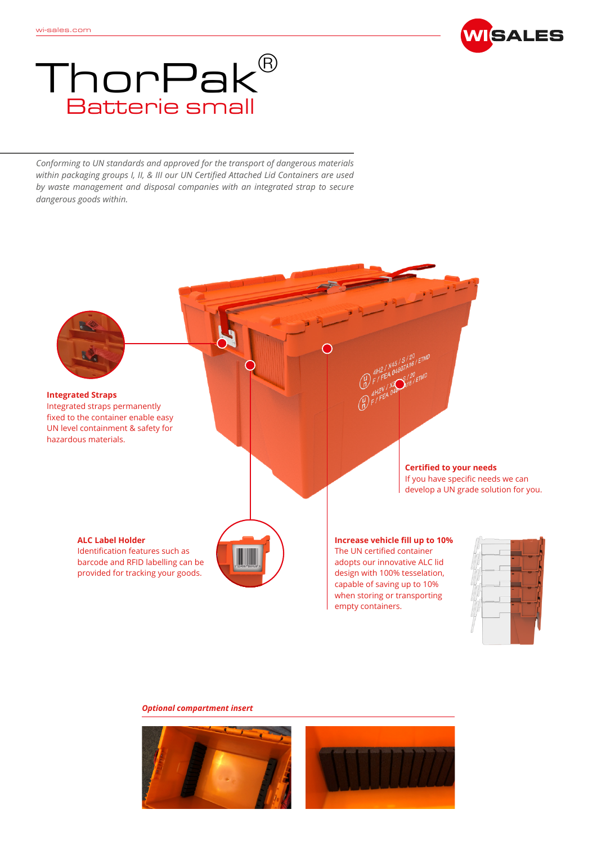

## Batterie small Thor $\mathsf{Pak}^{\scriptscriptstyle\mathsf{B}}$

*Conforming to UN standards and approved for the transport of dangerous materials within packaging groups I, II, & III our UN Certified Attached Lid Containers are used by waste management and disposal companies with an integrated strap to secure dangerous goods within.*



## *Optional compartment insert*

![](_page_0_Picture_6.jpeg)